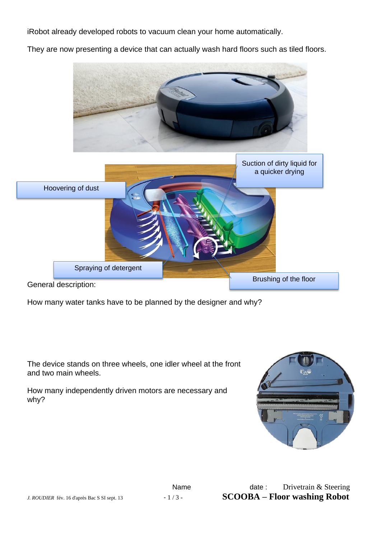iRobot already developed robots to vacuum clean your home automatically.

They are now presenting a device that can actually wash hard floors such as tiled floors.



How many water tanks have to be planned by the designer and why?

The device stands on three wheels, one idler wheel at the front and two main wheels.

How many independently driven motors are necessary and why?

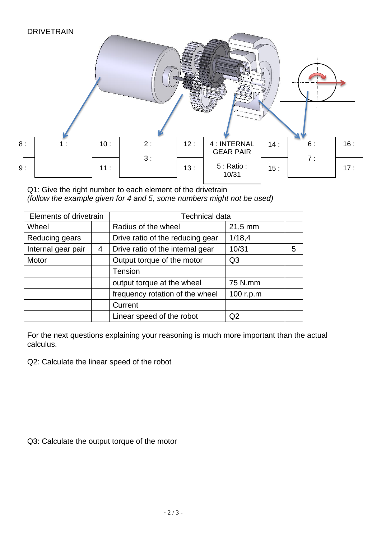

Q1: Give the right number to each element of the drivetrain *(follow the example given for 4 and 5, some numbers might not be used)*

| Elements of drivetrain |   | <b>Technical data</b>            |                     |   |
|------------------------|---|----------------------------------|---------------------|---|
| Wheel                  |   | Radius of the wheel              | $21,5 \, \text{mm}$ |   |
| Reducing gears         |   | Drive ratio of the reducing gear | 1/18,4              |   |
| Internal gear pair     | 4 | Drive ratio of the internal gear | 10/31               | 5 |
| Motor                  |   | Output torque of the motor       | Q <sub>3</sub>      |   |
|                        |   | <b>Tension</b>                   |                     |   |
|                        |   | output torque at the wheel       | 75 N.mm             |   |
|                        |   | frequency rotation of the wheel  | 100 r.p.m           |   |
|                        |   | Current                          |                     |   |
|                        |   | Linear speed of the robot        | Q2                  |   |

For the next questions explaining your reasoning is much more important than the actual calculus.

Q2: Calculate the linear speed of the robot

Q3: Calculate the output torque of the motor